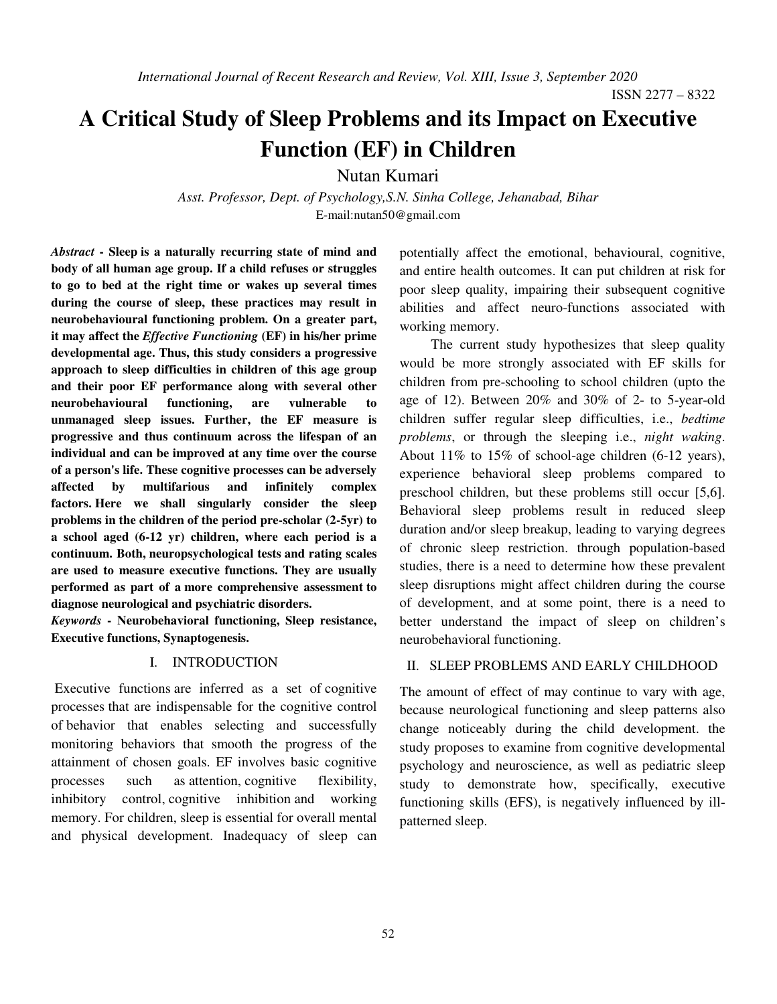ISSN 2277 – 8322

# **A Critical Study of Sleep Problems and its Impact on Executive Function (EF) in Children**

Nutan Kumari

*Asst. Professor, Dept. of Psychology,S.N. Sinha College, Jehanabad, Bihar*  E-mail:nutan50@gmail.com

*Abstract* **- Sleep is a naturally recurring state of mind and body of all human age group. If a child refuses or struggles to go to bed at the right time or wakes up several times during the course of sleep, these practices may result in neurobehavioural functioning problem. On a greater part, it may affect the** *Effective Functioning* **(EF) in his/her prime developmental age. Thus, this study considers a progressive approach to sleep difficulties in children of this age group and their poor EF performance along with several other neurobehavioural functioning, are vulnerable to unmanaged sleep issues. Further, the EF measure is progressive and thus continuum across the lifespan of an individual and can be improved at any time over the course of a person's life. These cognitive processes can be adversely affected by multifarious and infinitely complex factors. Here we shall singularly consider the sleep problems in the children of the period pre-scholar (2-5yr) to a school aged (6-12 yr) children, where each period is a continuum. Both, neuropsychological tests and rating scales are used to measure executive functions. They are usually performed as part of a more comprehensive assessment to diagnose neurological and psychiatric disorders.** 

*Keywords* **- Neurobehavioral functioning, Sleep resistance, Executive functions, Synaptogenesis.** 

# I. INTRODUCTION

 Executive functions are inferred as a set of cognitive processes that are indispensable for the cognitive control of behavior that enables selecting and successfully monitoring behaviors that smooth the progress of the attainment of chosen goals. EF involves basic cognitive processes such as attention, cognitive flexibility, inhibitory control, cognitive inhibition and working memory. For children, sleep is essential for overall mental and physical development. Inadequacy of sleep can potentially affect the emotional, behavioural, cognitive, and entire health outcomes. It can put children at risk for poor sleep quality, impairing their subsequent cognitive abilities and affect neuro-functions associated with working memory.

 The current study hypothesizes that sleep quality would be more strongly associated with EF skills for children from pre-schooling to school children (upto the age of 12). Between 20% and 30% of 2- to 5-year-old children suffer regular sleep difficulties, i.e., *bedtime problems*, or through the sleeping i.e., *night waking*. About 11% to 15% of school-age children (6-12 years), experience behavioral sleep problems compared to preschool children, but these problems still occur [5,6]. Behavioral sleep problems result in reduced sleep duration and/or sleep breakup, leading to varying degrees of chronic sleep restriction. through population-based studies, there is a need to determine how these prevalent sleep disruptions might affect children during the course of development, and at some point, there is a need to better understand the impact of sleep on children's neurobehavioral functioning.

## II. SLEEP PROBLEMS AND EARLY CHILDHOOD

The amount of effect of may continue to vary with age, because neurological functioning and sleep patterns also change noticeably during the child development. the study proposes to examine from cognitive developmental psychology and neuroscience, as well as pediatric sleep study to demonstrate how, specifically, executive functioning skills (EFS), is negatively influenced by illpatterned sleep.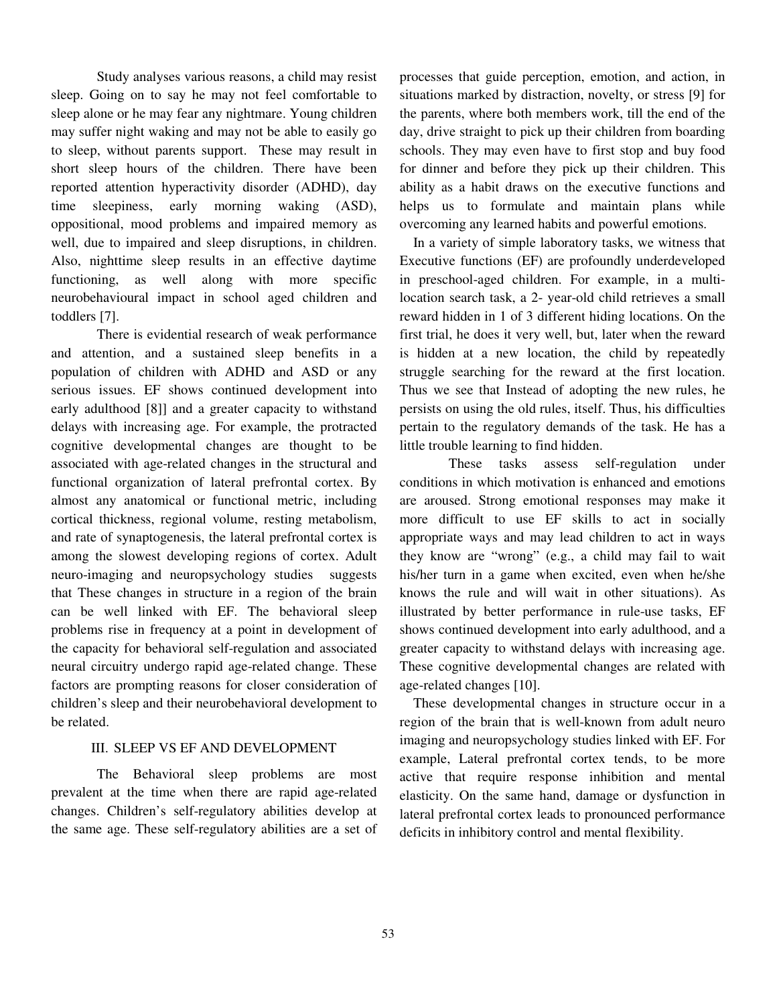Study analyses various reasons, a child may resist sleep. Going on to say he may not feel comfortable to sleep alone or he may fear any nightmare. Young children may suffer night waking and may not be able to easily go to sleep, without parents support. These may result in short sleep hours of the children. There have been reported attention hyperactivity disorder (ADHD), day time sleepiness, early morning waking (ASD), oppositional, mood problems and impaired memory as well, due to impaired and sleep disruptions, in children. Also, nighttime sleep results in an effective daytime functioning, as well along with more specific neurobehavioural impact in school aged children and toddlers [7].

There is evidential research of weak performance and attention, and a sustained sleep benefits in a population of children with ADHD and ASD or any serious issues. EF shows continued development into early adulthood [8]] and a greater capacity to withstand delays with increasing age. For example, the protracted cognitive developmental changes are thought to be associated with age-related changes in the structural and functional organization of lateral prefrontal cortex. By almost any anatomical or functional metric, including cortical thickness, regional volume, resting metabolism, and rate of synaptogenesis, the lateral prefrontal cortex is among the slowest developing regions of cortex. Adult neuro-imaging and neuropsychology studies suggests that These changes in structure in a region of the brain can be well linked with EF. The behavioral sleep problems rise in frequency at a point in development of the capacity for behavioral self-regulation and associated neural circuitry undergo rapid age-related change. These factors are prompting reasons for closer consideration of children's sleep and their neurobehavioral development to be related.

## III. SLEEP VS EF AND DEVELOPMENT

The Behavioral sleep problems are most prevalent at the time when there are rapid age-related changes. Children's self-regulatory abilities develop at the same age. These self-regulatory abilities are a set of processes that guide perception, emotion, and action, in situations marked by distraction, novelty, or stress [9] for the parents, where both members work, till the end of the day, drive straight to pick up their children from boarding schools. They may even have to first stop and buy food for dinner and before they pick up their children. This ability as a habit draws on the executive functions and helps us to formulate and maintain plans while overcoming any learned habits and powerful emotions.

In a variety of simple laboratory tasks, we witness that Executive functions (EF) are profoundly underdeveloped in preschool-aged children. For example, in a multilocation search task, a 2- year-old child retrieves a small reward hidden in 1 of 3 different hiding locations. On the first trial, he does it very well, but, later when the reward is hidden at a new location, the child by repeatedly struggle searching for the reward at the first location. Thus we see that Instead of adopting the new rules, he persists on using the old rules, itself. Thus, his difficulties pertain to the regulatory demands of the task. He has a little trouble learning to find hidden.

 These tasks assess self-regulation under conditions in which motivation is enhanced and emotions are aroused. Strong emotional responses may make it more difficult to use EF skills to act in socially appropriate ways and may lead children to act in ways they know are "wrong" (e.g., a child may fail to wait his/her turn in a game when excited, even when he/she knows the rule and will wait in other situations). As illustrated by better performance in rule-use tasks, EF shows continued development into early adulthood, and a greater capacity to withstand delays with increasing age. These cognitive developmental changes are related with age-related changes [10].

These developmental changes in structure occur in a region of the brain that is well-known from adult neuro imaging and neuropsychology studies linked with EF. For example, Lateral prefrontal cortex tends, to be more active that require response inhibition and mental elasticity. On the same hand, damage or dysfunction in lateral prefrontal cortex leads to pronounced performance deficits in inhibitory control and mental flexibility.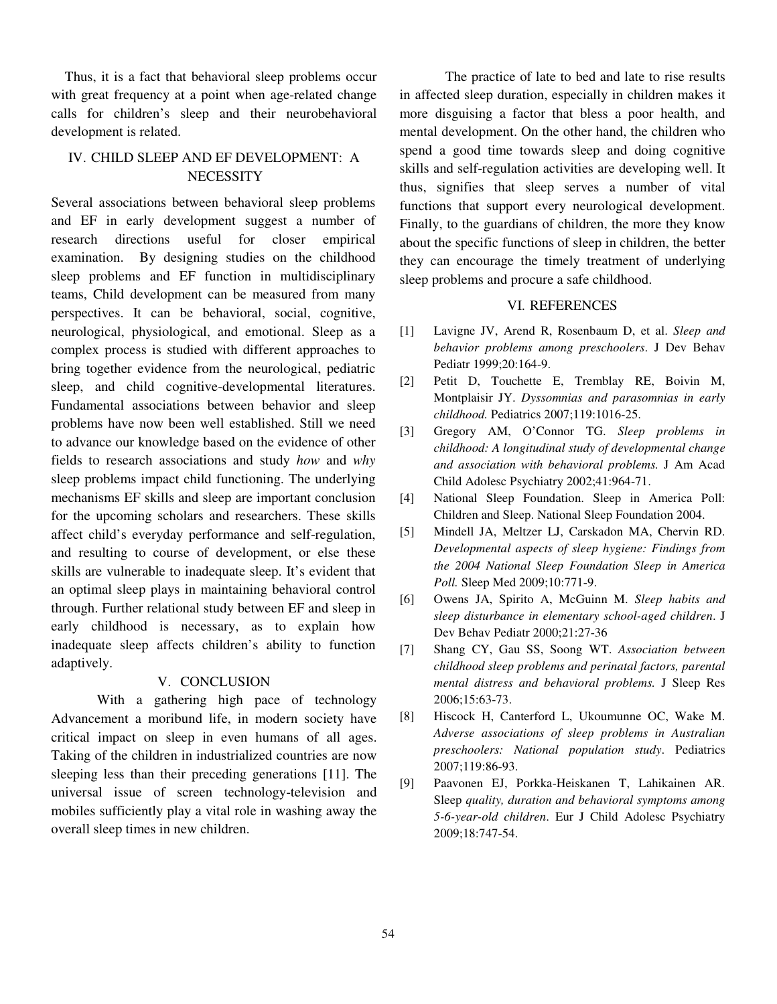Thus, it is a fact that behavioral sleep problems occur with great frequency at a point when age-related change calls for children's sleep and their neurobehavioral development is related.

## IV. CHILD SLEEP AND EF DEVELOPMENT: A **NECESSITY**

Several associations between behavioral sleep problems and EF in early development suggest a number of research directions useful for closer empirical examination. By designing studies on the childhood sleep problems and EF function in multidisciplinary teams, Child development can be measured from many perspectives. It can be behavioral, social, cognitive, neurological, physiological, and emotional. Sleep as a complex process is studied with different approaches to bring together evidence from the neurological, pediatric sleep, and child cognitive-developmental literatures. Fundamental associations between behavior and sleep problems have now been well established. Still we need to advance our knowledge based on the evidence of other fields to research associations and study *how* and *why* sleep problems impact child functioning. The underlying mechanisms EF skills and sleep are important conclusion for the upcoming scholars and researchers. These skills affect child's everyday performance and self-regulation, and resulting to course of development, or else these skills are vulnerable to inadequate sleep. It's evident that an optimal sleep plays in maintaining behavioral control through. Further relational study between EF and sleep in early childhood is necessary, as to explain how inadequate sleep affects children's ability to function adaptively.

### V. CONCLUSION

With a gathering high pace of technology Advancement a moribund life, in modern society have critical impact on sleep in even humans of all ages. Taking of the children in industrialized countries are now sleeping less than their preceding generations [11]. The universal issue of screen technology-television and mobiles sufficiently play a vital role in washing away the overall sleep times in new children.

The practice of late to bed and late to rise results in affected sleep duration, especially in children makes it more disguising a factor that bless a poor health, and mental development. On the other hand, the children who spend a good time towards sleep and doing cognitive skills and self-regulation activities are developing well. It thus, signifies that sleep serves a number of vital functions that support every neurological development. Finally, to the guardians of children, the more they know about the specific functions of sleep in children, the better they can encourage the timely treatment of underlying sleep problems and procure a safe childhood.

#### VI. REFERENCES

- [1] Lavigne JV, Arend R, Rosenbaum D, et al. *Sleep and behavior problems among preschoolers*. J Dev Behav Pediatr 1999;20:164-9.
- [2] Petit D, Touchette E, Tremblay RE, Boivin M, Montplaisir JY. *Dyssomnias and parasomnias in early childhood.* Pediatrics 2007;119:1016-25.
- [3] Gregory AM, O'Connor TG. *Sleep problems in childhood: A longitudinal study of developmental change and association with behavioral problems.* J Am Acad Child Adolesc Psychiatry 2002;41:964-71.
- [4] National Sleep Foundation. Sleep in America Poll: Children and Sleep. National Sleep Foundation 2004.
- [5] Mindell JA, Meltzer LJ, Carskadon MA, Chervin RD. *Developmental aspects of sleep hygiene: Findings from the 2004 National Sleep Foundation Sleep in America Poll.* Sleep Med 2009;10:771-9.
- [6] Owens JA, Spirito A, McGuinn M. *Sleep habits and sleep disturbance in elementary school-aged children*. J Dev Behav Pediatr 2000;21:27-36
- [7] Shang CY, Gau SS, Soong WT. *Association between childhood sleep problems and perinatal factors, parental mental distress and behavioral problems.* J Sleep Res 2006;15:63-73.
- [8] Hiscock H, Canterford L, Ukoumunne OC, Wake M. *Adverse associations of sleep problems in Australian preschoolers: National population study*. Pediatrics 2007;119:86-93.
- [9] Paavonen EJ, Porkka-Heiskanen T, Lahikainen AR. Sleep *quality, duration and behavioral symptoms among 5-6-year-old children*. Eur J Child Adolesc Psychiatry 2009;18:747-54.